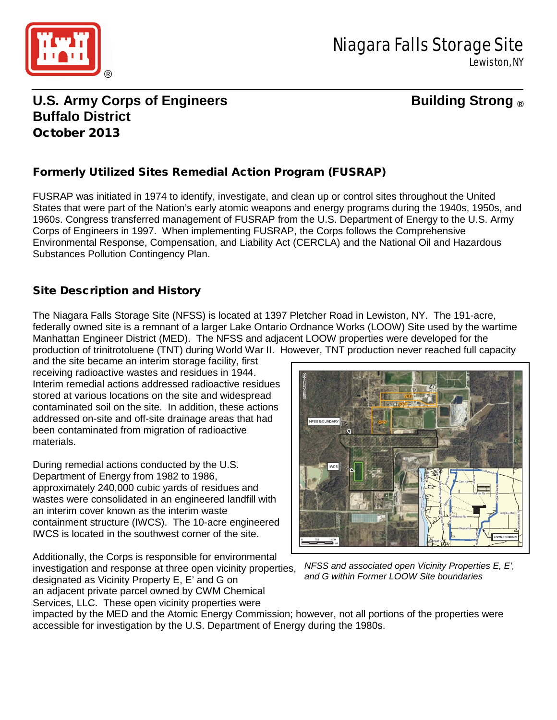

# **U.S. Army Corps of Engineers Building Strong ® Buffalo District** October 2013

## Formerly Utilized Sites Remedial Action Program (FUSRAP)

FUSRAP was initiated in 1974 to identify, investigate, and clean up or control sites throughout the United States that were part of the Nation's early atomic weapons and energy programs during the 1940s, 1950s, and 1960s. Congress transferred management of FUSRAP from the U.S. Department of Energy to the U.S. Army Corps of Engineers in 1997. When implementing FUSRAP, the Corps follows the Comprehensive Environmental Response, Compensation, and Liability Act (CERCLA) and the National Oil and Hazardous Substances Pollution Contingency Plan.

### Site Description and History

The Niagara Falls Storage Site (NFSS) is located at 1397 Pletcher Road in Lewiston, NY. The 191-acre, federally owned site is a remnant of a larger Lake Ontario Ordnance Works (LOOW) Site used by the wartime Manhattan Engineer District (MED). The NFSS and adjacent LOOW properties were developed for the production of trinitrotoluene (TNT) during World War II. However, TNT production never reached full capacity

and the site became an interim storage facility, first receiving radioactive wastes and residues in 1944. Interim remedial actions addressed radioactive residues stored at various locations on the site and widespread contaminated soil on the site. In addition, these actions addressed on-site and off-site drainage areas that had been contaminated from migration of radioactive materials.

During remedial actions conducted by the U.S. Department of Energy from 1982 to 1986, approximately 240,000 cubic yards of residues and wastes were consolidated in an engineered landfill with an interim cover known as the interim waste containment structure (IWCS). The 10-acre engineered IWCS is located in the southwest corner of the site.

Additionally, the Corps is responsible for environmental investigation and response at three open vicinity properties, designated as Vicinity Property E, E' and G on an adjacent private parcel owned by CWM Chemical Services, LLC. These open vicinity properties were



*NFSS and associated open Vicinity Properties E, E', and G within Former LOOW Site boundaries*

impacted by the MED and the Atomic Energy Commission; however, not all portions of the properties were accessible for investigation by the U.S. Department of Energy during the 1980s.